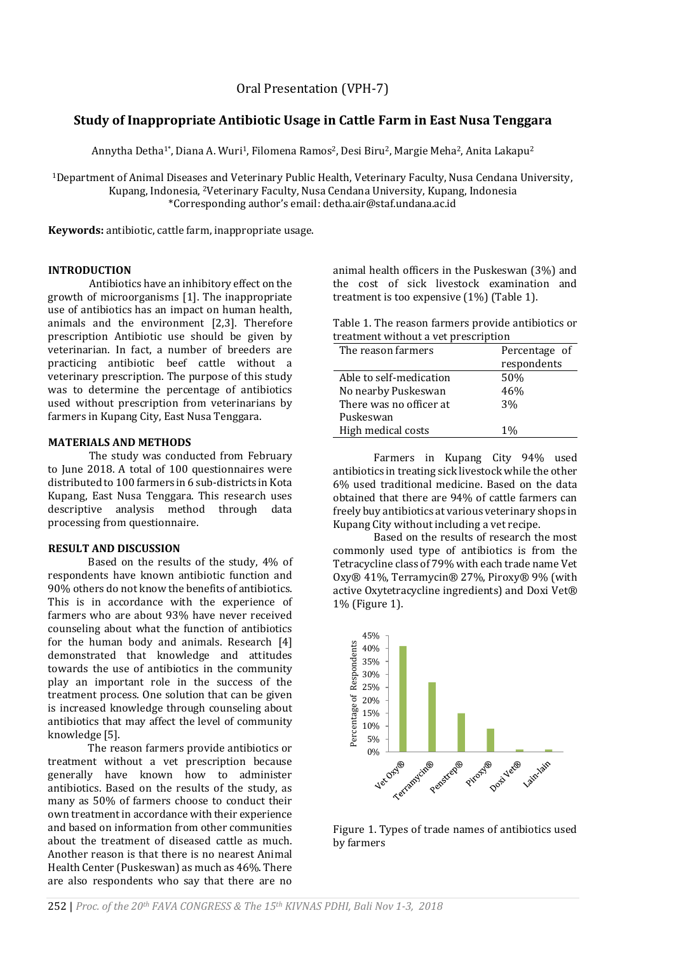# **Study of Inappropriate Antibiotic Usage in Cattle Farm in East Nusa Tenggara**

Annytha Detha<sup>1\*</sup>, Diana A. Wuri<sup>1</sup>, Filomena Ramos<sup>2</sup>, Desi Biru<sup>2</sup>, Margie Meha<sup>2</sup>, Anita Lakapu<sup>2</sup>

<sup>1</sup>Department of Animal Diseases and Veterinary Public Health, Veterinary Faculty, Nusa Cendana University, Kupang, Indonesia, <sup>2</sup>Veterinary Faculty, Nusa Cendana University, Kupang, Indonesia \*Corresponding author's email: detha.air@staf.undana.ac.id

**Keywords:** antibiotic, cattle farm, inappropriate usage.

## **INTRODUCTION**

Antibiotics have an inhibitory effect on the growth of microorganisms [1]. The inappropriate use of antibiotics has an impact on human health, animals and the environment [2,3]. Therefore prescription Antibiotic use should be given by veterinarian. In fact, a number of breeders are practicing antibiotic beef cattle without a veterinary prescription. The purpose of this study was to determine the percentage of antibiotics used without prescription from veterinarians by farmers in Kupang City, East Nusa Tenggara.

## **MATERIALS AND METHODS**

The study was conducted from February to June 2018. A total of 100 questionnaires were distributed to 100 farmers in 6 sub-districts in Kota Kupang, East Nusa Tenggara. This research uses descriptive analysis method through data processing from questionnaire.

## **RESULT AND DISCUSSION**

Based on the results of the study, 4% of respondents have known antibiotic function and 90% others do not know the benefits of antibiotics. This is in accordance with the experience of farmers who are about 93% have never received counseling about what the function of antibiotics for the human body and animals. Research [4] demonstrated that knowledge and attitudes towards the use of antibiotics in the community play an important role in the success of the treatment process. One solution that can be given is increased knowledge through counseling about antibiotics that may affect the level of community knowledge [5].

The reason farmers provide antibiotics or treatment without a vet prescription because generally have known how to administer antibiotics. Based on the results of the study, as many as 50% of farmers choose to conduct their own treatment in accordance with their experience and based on information from other communities about the treatment of diseased cattle as much. Another reason is that there is no nearest Animal Health Center (Puskeswan) as much as 46%. There are also respondents who say that there are no

animal health officers in the Puskeswan (3%) and the cost of sick livestock examination and treatment is too expensive (1%) (Table 1).

Table 1. The reason farmers provide antibiotics or treatment without a vet prescription

| The reason farmers      | Percentage of |
|-------------------------|---------------|
|                         | respondents   |
| Able to self-medication | 50%           |
| No nearby Puskeswan     | 46%           |
| There was no officer at | 3%            |
| Puskeswan               |               |
| High medical costs      | $1\%$         |
|                         |               |

Farmers in Kupang City 94% used antibiotics in treating sick livestock while the other 6% used traditional medicine. Based on the data obtained that there are 94% of cattle farmers can freely buy antibiotics at various veterinary shops in Kupang City without including a vet recipe.

Based on the results of research the most commonly used type of antibiotics is from the Tetracycline class of 79% with each trade name Vet Oxy® 41%, Terramycin® 27%, Piroxy® 9% (with active Oxytetracycline ingredients) and Doxi Vet® 1% (Figure 1).